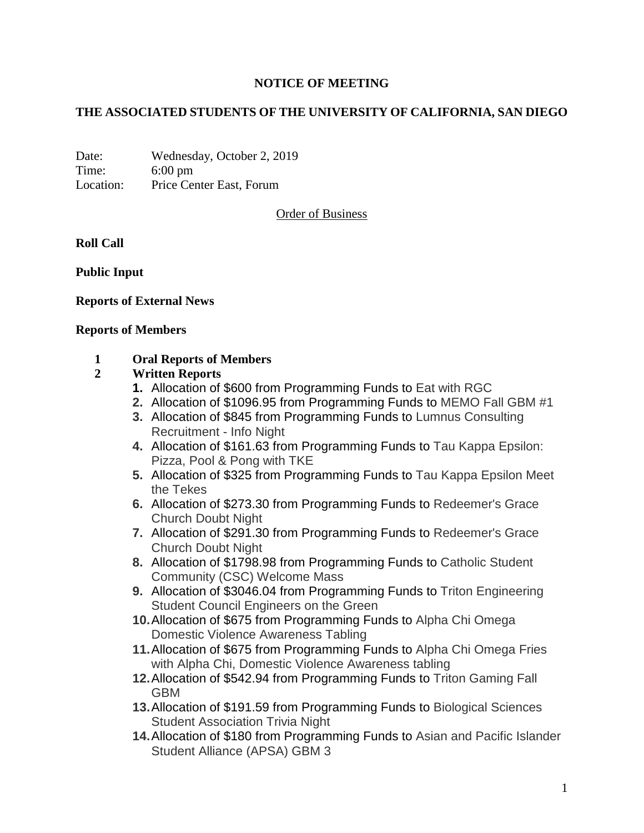# **NOTICE OF MEETING**

## **THE ASSOCIATED STUDENTS OF THE UNIVERSITY OF CALIFORNIA, SAN DIEGO**

Date: Wednesday, October 2, 2019 Time: 6:00 pm Location: Price Center East, Forum

Order of Business

**Roll Call**

**Public Input**

### **Reports of External News**

#### **Reports of Members**

### **1 Oral Reports of Members**

### **2 Written Reports**

- **1.** Allocation of \$600 from Programming Funds to Eat with RGC
- **2.** Allocation of \$1096.95 from Programming Funds to MEMO Fall GBM #1
- **3.** Allocation of \$845 from Programming Funds to Lumnus Consulting Recruitment - Info Night
- **4.** Allocation of \$161.63 from Programming Funds to Tau Kappa Epsilon: Pizza, Pool & Pong with TKE
- **5.** Allocation of \$325 from Programming Funds to Tau Kappa Epsilon Meet the Tekes
- **6.** Allocation of \$273.30 from Programming Funds to Redeemer's Grace Church Doubt Night
- **7.** Allocation of \$291.30 from Programming Funds to Redeemer's Grace Church Doubt Night
- **8.** Allocation of \$1798.98 from Programming Funds to Catholic Student Community (CSC) Welcome Mass
- **9.** Allocation of \$3046.04 from Programming Funds to Triton Engineering Student Council Engineers on the Green
- **10.**Allocation of \$675 from Programming Funds to Alpha Chi Omega Domestic Violence Awareness Tabling
- **11.**Allocation of \$675 from Programming Funds to Alpha Chi Omega Fries with Alpha Chi, Domestic Violence Awareness tabling
- **12.**Allocation of \$542.94 from Programming Funds to Triton Gaming Fall GBM
- **13.**Allocation of \$191.59 from Programming Funds to Biological Sciences Student Association Trivia Night
- **14.**Allocation of \$180 from Programming Funds to Asian and Pacific Islander Student Alliance (APSA) GBM 3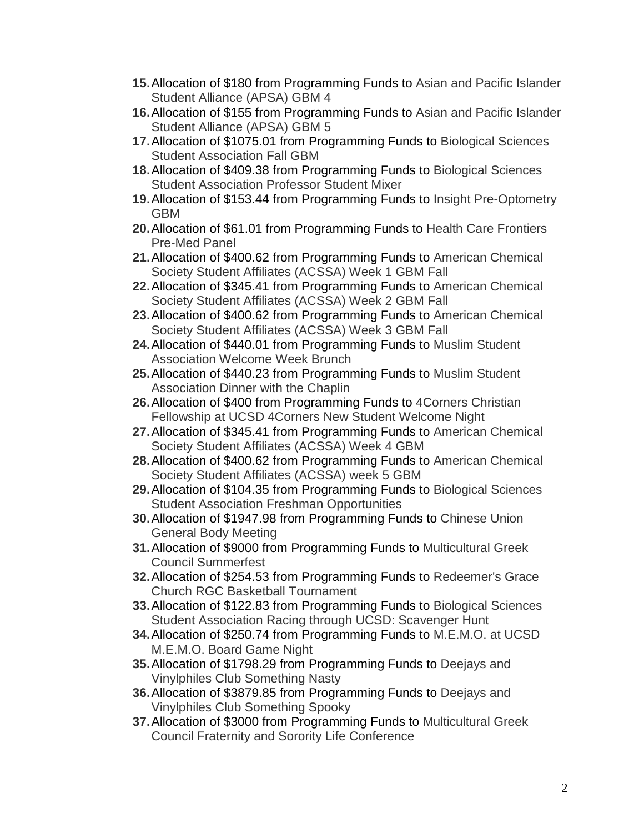- **15.**Allocation of \$180 from Programming Funds to Asian and Pacific Islander Student Alliance (APSA) GBM 4
- **16.**Allocation of \$155 from Programming Funds to Asian and Pacific Islander Student Alliance (APSA) GBM 5
- **17.**Allocation of \$1075.01 from Programming Funds to Biological Sciences Student Association Fall GBM
- **18.**Allocation of \$409.38 from Programming Funds to Biological Sciences Student Association Professor Student Mixer
- **19.**Allocation of \$153.44 from Programming Funds to Insight Pre-Optometry GBM
- **20.**Allocation of \$61.01 from Programming Funds to Health Care Frontiers Pre-Med Panel
- **21.**Allocation of \$400.62 from Programming Funds to American Chemical Society Student Affiliates (ACSSA) Week 1 GBM Fall
- **22.**Allocation of \$345.41 from Programming Funds to American Chemical Society Student Affiliates (ACSSA) Week 2 GBM Fall
- **23.**Allocation of \$400.62 from Programming Funds to American Chemical Society Student Affiliates (ACSSA) Week 3 GBM Fall
- **24.**Allocation of \$440.01 from Programming Funds to Muslim Student Association Welcome Week Brunch
- **25.**Allocation of \$440.23 from Programming Funds to Muslim Student Association Dinner with the Chaplin
- **26.**Allocation of \$400 from Programming Funds to 4Corners Christian Fellowship at UCSD 4Corners New Student Welcome Night
- **27.**Allocation of \$345.41 from Programming Funds to American Chemical Society Student Affiliates (ACSSA) Week 4 GBM
- **28.**Allocation of \$400.62 from Programming Funds to American Chemical Society Student Affiliates (ACSSA) week 5 GBM
- **29.**Allocation of \$104.35 from Programming Funds to Biological Sciences Student Association Freshman Opportunities
- **30.**Allocation of \$1947.98 from Programming Funds to Chinese Union General Body Meeting
- **31.**Allocation of \$9000 from Programming Funds to Multicultural Greek Council Summerfest
- **32.**Allocation of \$254.53 from Programming Funds to Redeemer's Grace Church RGC Basketball Tournament
- **33.**Allocation of \$122.83 from Programming Funds to Biological Sciences Student Association Racing through UCSD: Scavenger Hunt
- **34.**Allocation of \$250.74 from Programming Funds to M.E.M.O. at UCSD M.E.M.O. Board Game Night
- **35.**Allocation of \$1798.29 from Programming Funds to Deejays and Vinylphiles Club Something Nasty
- **36.**Allocation of \$3879.85 from Programming Funds to Deejays and Vinylphiles Club Something Spooky
- **37.**Allocation of \$3000 from Programming Funds to Multicultural Greek Council Fraternity and Sorority Life Conference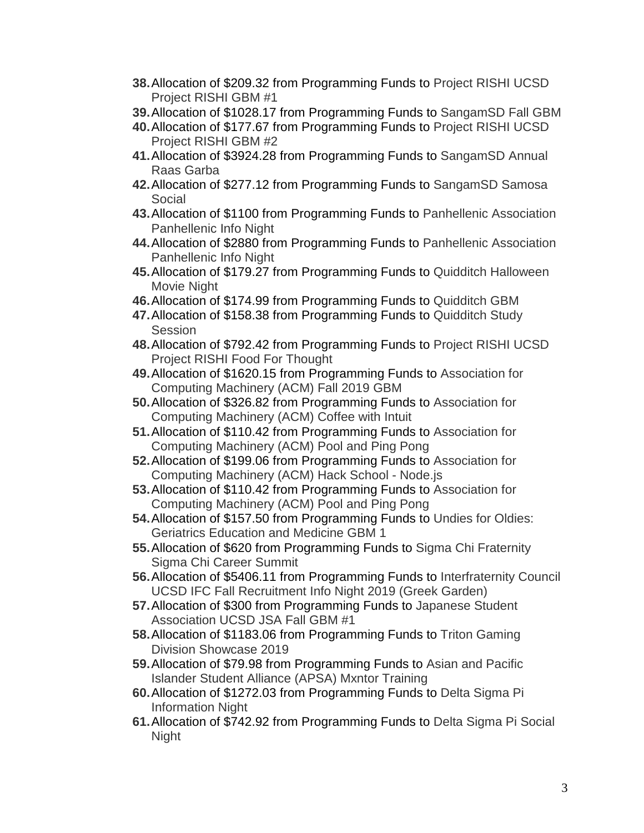- **38.**Allocation of \$209.32 from Programming Funds to Project RISHI UCSD Project RISHI GBM #1
- **39.**Allocation of \$1028.17 from Programming Funds to SangamSD Fall GBM
- **40.**Allocation of \$177.67 from Programming Funds to Project RISHI UCSD Project RISHI GBM #2
- **41.**Allocation of \$3924.28 from Programming Funds to SangamSD Annual Raas Garba
- **42.**Allocation of \$277.12 from Programming Funds to SangamSD Samosa Social
- **43.**Allocation of \$1100 from Programming Funds to Panhellenic Association Panhellenic Info Night
- **44.**Allocation of \$2880 from Programming Funds to Panhellenic Association Panhellenic Info Night
- **45.**Allocation of \$179.27 from Programming Funds to Quidditch Halloween Movie Night
- **46.**Allocation of \$174.99 from Programming Funds to Quidditch GBM
- **47.**Allocation of \$158.38 from Programming Funds to Quidditch Study **Session**
- **48.**Allocation of \$792.42 from Programming Funds to Project RISHI UCSD Project RISHI Food For Thought
- **49.**Allocation of \$1620.15 from Programming Funds to Association for Computing Machinery (ACM) Fall 2019 GBM
- **50.**Allocation of \$326.82 from Programming Funds to Association for Computing Machinery (ACM) Coffee with Intuit
- **51.**Allocation of \$110.42 from Programming Funds to Association for Computing Machinery (ACM) Pool and Ping Pong
- **52.**Allocation of \$199.06 from Programming Funds to Association for Computing Machinery (ACM) Hack School - Node.js
- **53.**Allocation of \$110.42 from Programming Funds to Association for Computing Machinery (ACM) Pool and Ping Pong
- **54.**Allocation of \$157.50 from Programming Funds to Undies for Oldies: Geriatrics Education and Medicine GBM 1
- **55.**Allocation of \$620 from Programming Funds to Sigma Chi Fraternity Sigma Chi Career Summit
- **56.**Allocation of \$5406.11 from Programming Funds to Interfraternity Council UCSD IFC Fall Recruitment Info Night 2019 (Greek Garden)
- **57.**Allocation of \$300 from Programming Funds to Japanese Student Association UCSD JSA Fall GBM #1
- **58.**Allocation of \$1183.06 from Programming Funds to Triton Gaming Division Showcase 2019
- **59.**Allocation of \$79.98 from Programming Funds to Asian and Pacific Islander Student Alliance (APSA) Mxntor Training
- **60.**Allocation of \$1272.03 from Programming Funds to Delta Sigma Pi Information Night
- **61.**Allocation of \$742.92 from Programming Funds to Delta Sigma Pi Social Night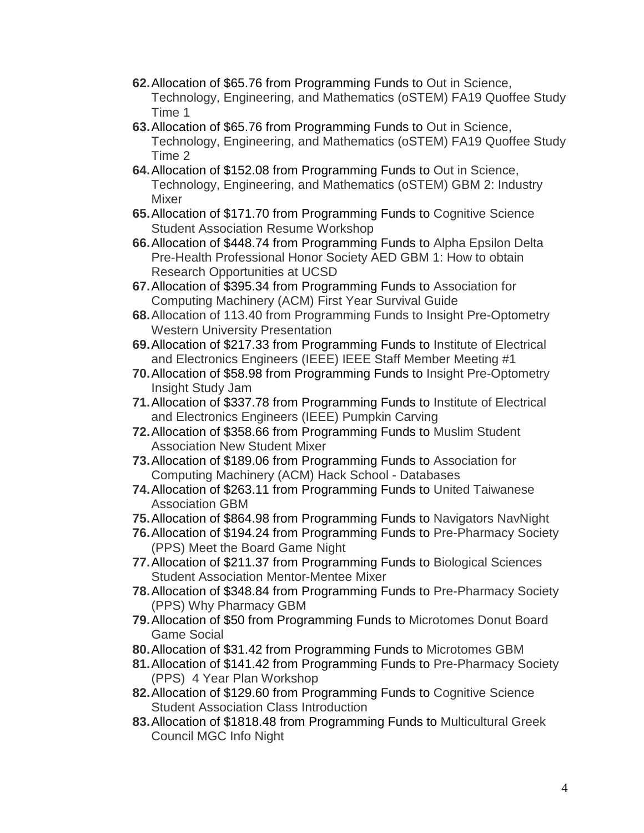- **62.**Allocation of \$65.76 from Programming Funds to Out in Science, Technology, Engineering, and Mathematics (oSTEM) FA19 Quoffee Study Time 1
- **63.**Allocation of \$65.76 from Programming Funds to Out in Science, Technology, Engineering, and Mathematics (oSTEM) FA19 Quoffee Study Time 2
- **64.**Allocation of \$152.08 from Programming Funds to Out in Science, Technology, Engineering, and Mathematics (oSTEM) GBM 2: Industry Mixer
- **65.**Allocation of \$171.70 from Programming Funds to Cognitive Science Student Association Resume Workshop
- **66.**Allocation of \$448.74 from Programming Funds to Alpha Epsilon Delta Pre-Health Professional Honor Society AED GBM 1: How to obtain Research Opportunities at UCSD
- **67.**Allocation of \$395.34 from Programming Funds to Association for Computing Machinery (ACM) First Year Survival Guide
- **68.**Allocation of 113.40 from Programming Funds to Insight Pre-Optometry Western University Presentation
- **69.**Allocation of \$217.33 from Programming Funds to Institute of Electrical and Electronics Engineers (IEEE) IEEE Staff Member Meeting #1
- **70.**Allocation of \$58.98 from Programming Funds to Insight Pre-Optometry Insight Study Jam
- **71.**Allocation of \$337.78 from Programming Funds to Institute of Electrical and Electronics Engineers (IEEE) Pumpkin Carving
- **72.**Allocation of \$358.66 from Programming Funds to Muslim Student Association New Student Mixer
- **73.**Allocation of \$189.06 from Programming Funds to Association for Computing Machinery (ACM) Hack School - Databases
- **74.**Allocation of \$263.11 from Programming Funds to United Taiwanese Association GBM
- **75.**Allocation of \$864.98 from Programming Funds to Navigators NavNight
- **76.**Allocation of \$194.24 from Programming Funds to Pre-Pharmacy Society (PPS) Meet the Board Game Night
- **77.**Allocation of \$211.37 from Programming Funds to Biological Sciences Student Association Mentor-Mentee Mixer
- **78.**Allocation of \$348.84 from Programming Funds to Pre-Pharmacy Society (PPS) Why Pharmacy GBM
- **79.**Allocation of \$50 from Programming Funds to Microtomes Donut Board Game Social
- **80.**Allocation of \$31.42 from Programming Funds to Microtomes GBM
- **81.**Allocation of \$141.42 from Programming Funds to Pre-Pharmacy Society (PPS) 4 Year Plan Workshop
- **82.**Allocation of \$129.60 from Programming Funds to Cognitive Science Student Association Class Introduction
- **83.**Allocation of \$1818.48 from Programming Funds to Multicultural Greek Council MGC Info Night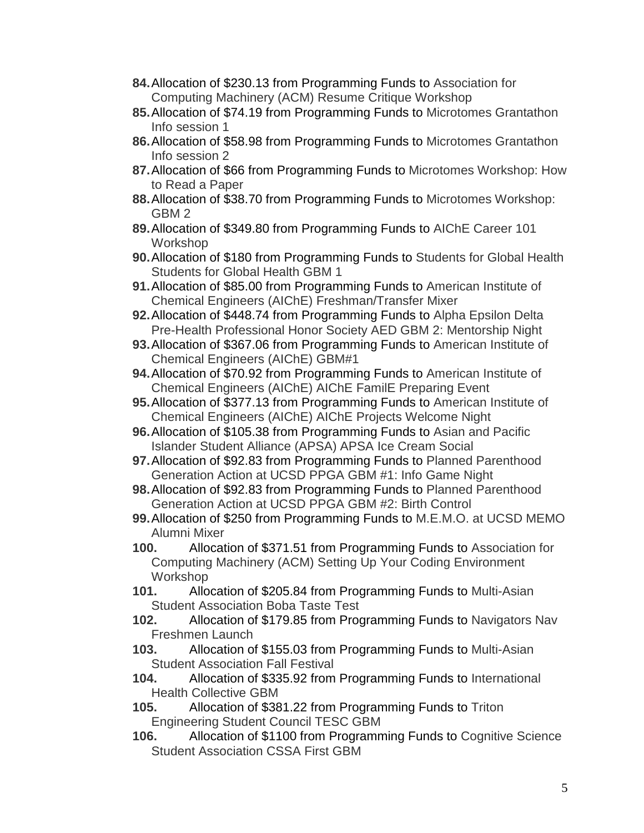- **84.**Allocation of \$230.13 from Programming Funds to Association for Computing Machinery (ACM) Resume Critique Workshop
- **85.**Allocation of \$74.19 from Programming Funds to Microtomes Grantathon Info session 1
- **86.**Allocation of \$58.98 from Programming Funds to Microtomes Grantathon Info session 2
- **87.**Allocation of \$66 from Programming Funds to Microtomes Workshop: How to Read a Paper
- **88.**Allocation of \$38.70 from Programming Funds to Microtomes Workshop: GBM 2
- **89.**Allocation of \$349.80 from Programming Funds to AIChE Career 101 Workshop
- **90.**Allocation of \$180 from Programming Funds to Students for Global Health Students for Global Health GBM 1
- **91.**Allocation of \$85.00 from Programming Funds to American Institute of Chemical Engineers (AIChE) Freshman/Transfer Mixer
- **92.**Allocation of \$448.74 from Programming Funds to Alpha Epsilon Delta Pre-Health Professional Honor Society AED GBM 2: Mentorship Night
- **93.**Allocation of \$367.06 from Programming Funds to American Institute of Chemical Engineers (AIChE) GBM#1
- **94.**Allocation of \$70.92 from Programming Funds to American Institute of Chemical Engineers (AIChE) AIChE FamilE Preparing Event
- **95.**Allocation of \$377.13 from Programming Funds to American Institute of Chemical Engineers (AIChE) AIChE Projects Welcome Night
- **96.**Allocation of \$105.38 from Programming Funds to Asian and Pacific Islander Student Alliance (APSA) APSA Ice Cream Social
- **97.**Allocation of \$92.83 from Programming Funds to Planned Parenthood Generation Action at UCSD PPGA GBM #1: Info Game Night
- **98.**Allocation of \$92.83 from Programming Funds to Planned Parenthood Generation Action at UCSD PPGA GBM #2: Birth Control
- **99.**Allocation of \$250 from Programming Funds to M.E.M.O. at UCSD MEMO Alumni Mixer
- **100.** Allocation of \$371.51 from Programming Funds to Association for Computing Machinery (ACM) Setting Up Your Coding Environment Workshop
- **101.** Allocation of \$205.84 from Programming Funds to Multi-Asian Student Association Boba Taste Test
- **102.** Allocation of \$179.85 from Programming Funds to Navigators Nav Freshmen Launch
- **103.** Allocation of \$155.03 from Programming Funds to Multi-Asian Student Association Fall Festival
- **104.** Allocation of \$335.92 from Programming Funds to International Health Collective GBM
- **105.** Allocation of \$381.22 from Programming Funds to Triton Engineering Student Council TESC GBM
- **106.** Allocation of \$1100 from Programming Funds to Cognitive Science Student Association CSSA First GBM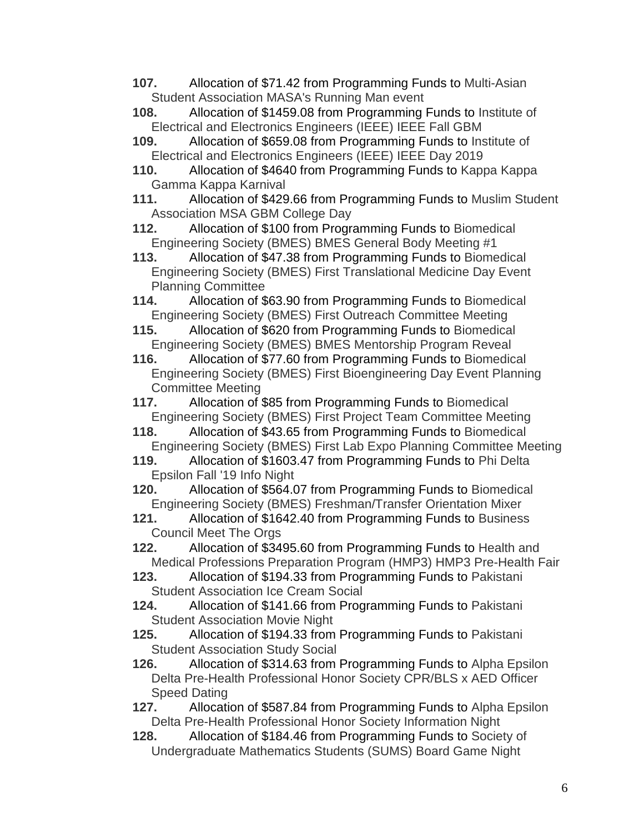- **107.** Allocation of \$71.42 from Programming Funds to Multi-Asian Student Association MASA's Running Man event
- **108.** Allocation of \$1459.08 from Programming Funds to Institute of Electrical and Electronics Engineers (IEEE) IEEE Fall GBM
- **109.** Allocation of \$659.08 from Programming Funds to Institute of Electrical and Electronics Engineers (IEEE) IEEE Day 2019
- **110.** Allocation of \$4640 from Programming Funds to Kappa Kappa Gamma Kappa Karnival
- **111.** Allocation of \$429.66 from Programming Funds to Muslim Student Association MSA GBM College Day
- **112.** Allocation of \$100 from Programming Funds to Biomedical Engineering Society (BMES) BMES General Body Meeting #1
- **113.** Allocation of \$47.38 from Programming Funds to Biomedical Engineering Society (BMES) First Translational Medicine Day Event Planning Committee
- **114.** Allocation of \$63.90 from Programming Funds to Biomedical Engineering Society (BMES) First Outreach Committee Meeting
- **115.** Allocation of \$620 from Programming Funds to Biomedical Engineering Society (BMES) BMES Mentorship Program Reveal
- **116.** Allocation of \$77.60 from Programming Funds to Biomedical Engineering Society (BMES) First Bioengineering Day Event Planning Committee Meeting
- **117.** Allocation of \$85 from Programming Funds to Biomedical Engineering Society (BMES) First Project Team Committee Meeting
- **118.** Allocation of \$43.65 from Programming Funds to Biomedical Engineering Society (BMES) First Lab Expo Planning Committee Meeting
- **119.** Allocation of \$1603.47 from Programming Funds to Phi Delta Epsilon Fall '19 Info Night
- **120.** Allocation of \$564.07 from Programming Funds to Biomedical Engineering Society (BMES) Freshman/Transfer Orientation Mixer
- **121.** Allocation of \$1642.40 from Programming Funds to Business Council Meet The Orgs
- **122.** Allocation of \$3495.60 from Programming Funds to Health and Medical Professions Preparation Program (HMP3) HMP3 Pre-Health Fair
- **123.** Allocation of \$194.33 from Programming Funds to Pakistani Student Association Ice Cream Social
- **124.** Allocation of \$141.66 from Programming Funds to Pakistani Student Association Movie Night
- **125.** Allocation of \$194.33 from Programming Funds to Pakistani Student Association Study Social
- **126.** Allocation of \$314.63 from Programming Funds to Alpha Epsilon Delta Pre-Health Professional Honor Society CPR/BLS x AED Officer Speed Dating
- **127.** Allocation of \$587.84 from Programming Funds to Alpha Epsilon Delta Pre-Health Professional Honor Society Information Night
- **128.** Allocation of \$184.46 from Programming Funds to Society of Undergraduate Mathematics Students (SUMS) Board Game Night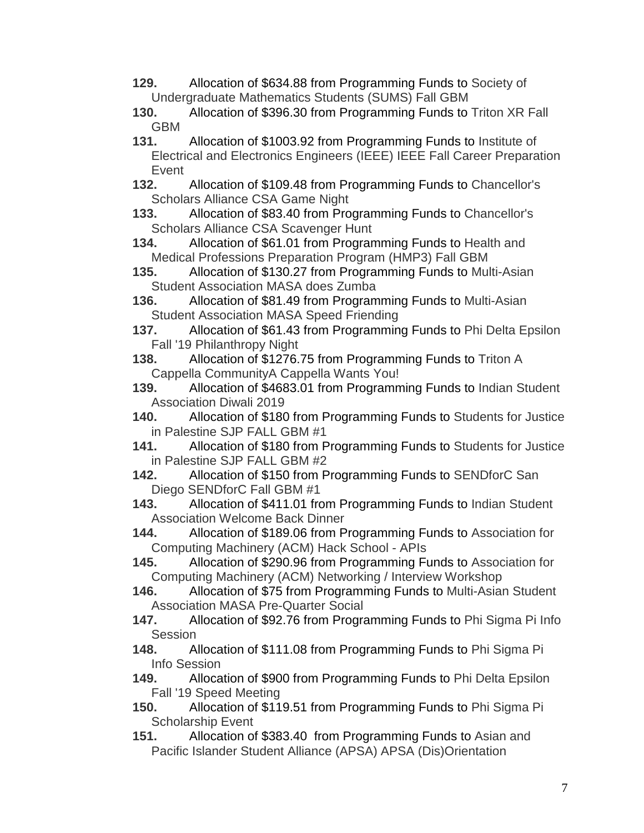- **129.** Allocation of \$634.88 from Programming Funds to Society of Undergraduate Mathematics Students (SUMS) Fall GBM
- **130.** Allocation of \$396.30 from Programming Funds to Triton XR Fall GBM
- **131.** Allocation of \$1003.92 from Programming Funds to Institute of Electrical and Electronics Engineers (IEEE) IEEE Fall Career Preparation Event
- **132.** Allocation of \$109.48 from Programming Funds to Chancellor's Scholars Alliance CSA Game Night
- **133.** Allocation of \$83.40 from Programming Funds to Chancellor's Scholars Alliance CSA Scavenger Hunt
- **134.** Allocation of \$61.01 from Programming Funds to Health and Medical Professions Preparation Program (HMP3) Fall GBM
- **135.** Allocation of \$130.27 from Programming Funds to Multi-Asian Student Association MASA does Zumba
- **136.** Allocation of \$81.49 from Programming Funds to Multi-Asian Student Association MASA Speed Friending
- **137.** Allocation of \$61.43 from Programming Funds to Phi Delta Epsilon Fall '19 Philanthropy Night
- **138.** Allocation of \$1276.75 from Programming Funds to Triton A Cappella CommunityA Cappella Wants You!
- **139.** Allocation of \$4683.01 from Programming Funds to Indian Student Association Diwali 2019
- **140.** Allocation of \$180 from Programming Funds to Students for Justice in Palestine SJP FALL GBM #1
- **141.** Allocation of \$180 from Programming Funds to Students for Justice in Palestine SJP FALL GBM #2
- **142.** Allocation of \$150 from Programming Funds to SENDforC San Diego SENDforC Fall GBM #1
- **143.** Allocation of \$411.01 from Programming Funds to Indian Student Association Welcome Back Dinner
- **144.** Allocation of \$189.06 from Programming Funds to Association for Computing Machinery (ACM) Hack School - APIs
- **145.** Allocation of \$290.96 from Programming Funds to Association for Computing Machinery (ACM) Networking / Interview Workshop
- **146.** Allocation of \$75 from Programming Funds to Multi-Asian Student Association MASA Pre-Quarter Social<br>147. Allocation of \$92.76 from Progra
- **147.** Allocation of \$92.76 from Programming Funds to Phi Sigma Pi Info **Session**
- **148.** Allocation of \$111.08 from Programming Funds to Phi Sigma Pi Info Session
- **149.** Allocation of \$900 from Programming Funds to Phi Delta Epsilon Fall '19 Speed Meeting
- **150.** Allocation of \$119.51 from Programming Funds to Phi Sigma Pi Scholarship Event
- **151.** Allocation of \$383.40 from Programming Funds to Asian and Pacific Islander Student Alliance (APSA) APSA (Dis)Orientation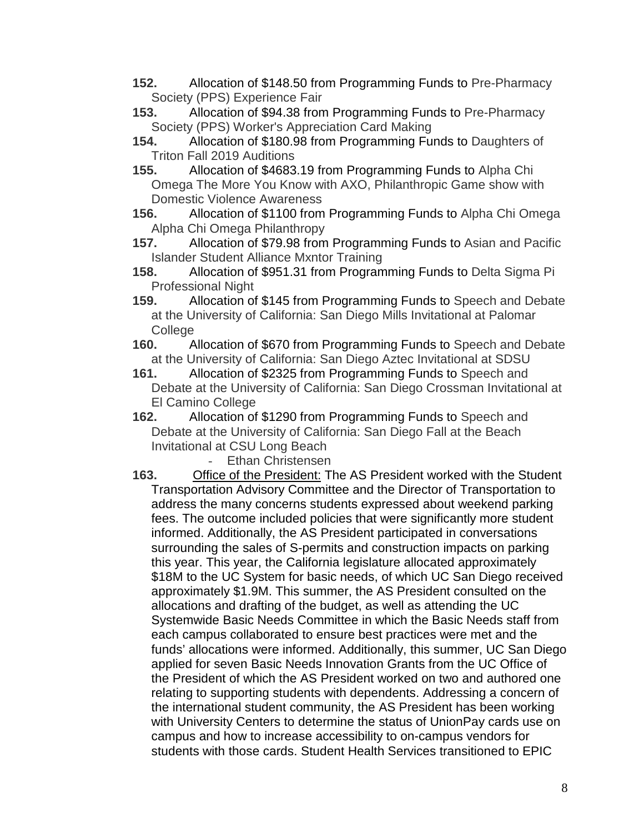- **152.** Allocation of \$148.50 from Programming Funds to Pre-Pharmacy Society (PPS) Experience Fair
- **153.** Allocation of \$94.38 from Programming Funds to Pre-Pharmacy Society (PPS) Worker's Appreciation Card Making
- **154.** Allocation of \$180.98 from Programming Funds to Daughters of Triton Fall 2019 Auditions
- **155.** Allocation of \$4683.19 from Programming Funds to Alpha Chi Omega The More You Know with AXO, Philanthropic Game show with Domestic Violence Awareness
- **156.** Allocation of \$1100 from Programming Funds to Alpha Chi Omega Alpha Chi Omega Philanthropy
- **157.** Allocation of \$79.98 from Programming Funds to Asian and Pacific Islander Student Alliance Mxntor Training
- **158.** Allocation of \$951.31 from Programming Funds to Delta Sigma Pi Professional Night
- **159.** Allocation of \$145 from Programming Funds to Speech and Debate at the University of California: San Diego Mills Invitational at Palomar **College**
- **160.** Allocation of \$670 from Programming Funds to Speech and Debate at the University of California: San Diego Aztec Invitational at SDSU
- **161.** Allocation of \$2325 from Programming Funds to Speech and Debate at the University of California: San Diego Crossman Invitational at El Camino College
- **162.** Allocation of \$1290 from Programming Funds to Speech and Debate at the University of California: San Diego Fall at the Beach Invitational at CSU Long Beach
	- Ethan Christensen
- **163.** Office of the President: The AS President worked with the Student Transportation Advisory Committee and the Director of Transportation to address the many concerns students expressed about weekend parking fees. The outcome included policies that were significantly more student informed. Additionally, the AS President participated in conversations surrounding the sales of S-permits and construction impacts on parking this year. This year, the California legislature allocated approximately \$18M to the UC System for basic needs, of which UC San Diego received approximately \$1.9M. This summer, the AS President consulted on the allocations and drafting of the budget, as well as attending the UC Systemwide Basic Needs Committee in which the Basic Needs staff from each campus collaborated to ensure best practices were met and the funds' allocations were informed. Additionally, this summer, UC San Diego applied for seven Basic Needs Innovation Grants from the UC Office of the President of which the AS President worked on two and authored one relating to supporting students with dependents. Addressing a concern of the international student community, the AS President has been working with University Centers to determine the status of UnionPay cards use on campus and how to increase accessibility to on-campus vendors for students with those cards. Student Health Services transitioned to EPIC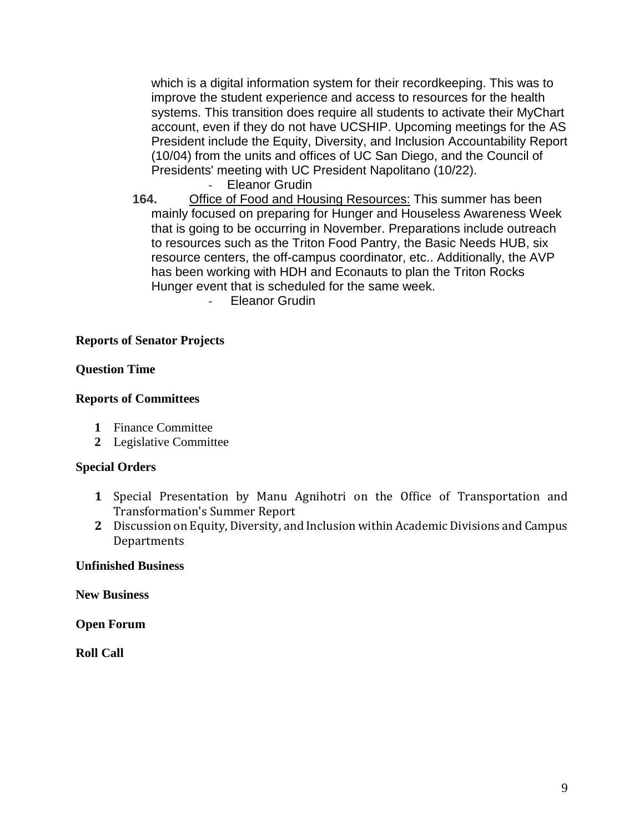which is a digital information system for their recordkeeping. This was to improve the student experience and access to resources for the health systems. This transition does require all students to activate their MyChart account, even if they do not have UCSHIP. Upcoming meetings for the AS President include the Equity, Diversity, and Inclusion Accountability Report (10/04) from the units and offices of UC San Diego, and the Council of Presidents' meeting with UC President Napolitano (10/22).

Eleanor Grudin

**164.** Office of Food and Housing Resources: This summer has been mainly focused on preparing for Hunger and Houseless Awareness Week that is going to be occurring in November. Preparations include outreach to resources such as the Triton Food Pantry, the Basic Needs HUB, six resource centers, the off-campus coordinator, etc.. Additionally, the AVP has been working with HDH and Econauts to plan the Triton Rocks Hunger event that is scheduled for the same week.

Eleanor Grudin

# **Reports of Senator Projects**

## **Question Time**

### **Reports of Committees**

- **1** Finance Committee
- **2** Legislative Committee

### **Special Orders**

- **1** Special Presentation by Manu Agnihotri on the Office of Transportation and Transformation's Summer Report
- **2** Discussion on Equity, Diversity, and Inclusion within Academic Divisions and Campus **Departments**

### **Unfinished Business**

**New Business**

**Open Forum**

**Roll Call**